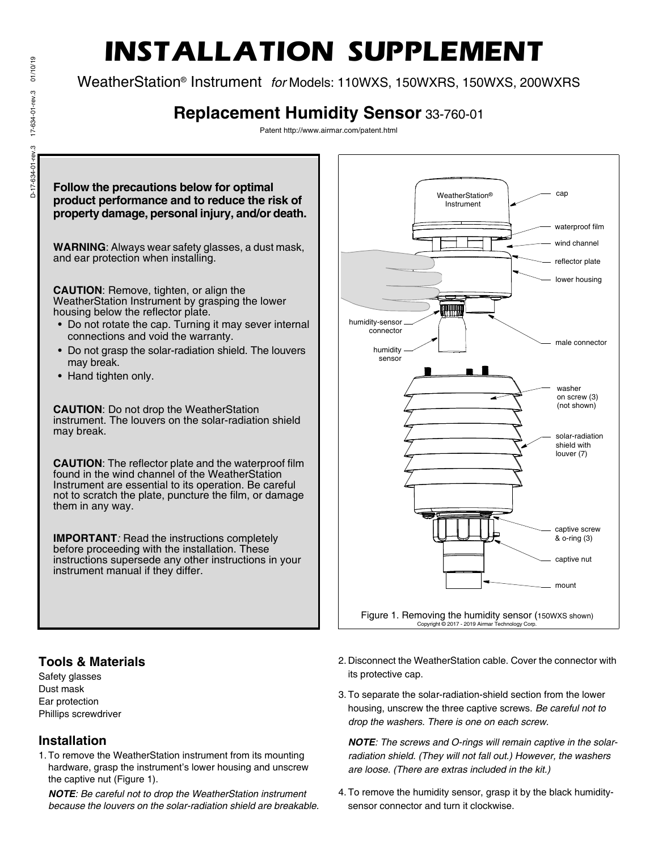# 01/10/19 D-17-634-01-rev.3 17-634-01-rev.3 01/10/19 17-634-01-rev.3  $D-17-634-01$ -rev.3

## **INSTALLATION SUPPLEMENT**

WeatherStation® Instrument *for* Models: 110WXS, 150WXRS, 150WXS, 200WXRS

### **Replacement Humidity Sensor** 33-760-01

Patent http://www.airmar.com/patent.html



#### **Tools & Materials**

Safety glasses Dust mask Ear protection Phillips screwdriver

#### **Installation**

1. To remove the WeatherStation instrument from its mounting hardware, grasp the instrument's lower housing and unscrew the captive nut (Figure 1).

*NOTE: Be careful not to drop the WeatherStation instrument because the louvers on the solar-radiation shield are breakable.* 2. Disconnect the WeatherStation cable. Cover the connector with its protective cap.

reflector plate

lower housing

male connector

washer

on screw (3) (not shown)

captive screw

captive nut

& o-ring (3)

mount

solar-radiation shield with

louver (7)

waterproof film wind channel

cap

3. To separate the solar-radiation-shield section from the lower housing, unscrew the three captive screws. *Be careful not to drop the washers. There is one on each screw.*

*NOTE: The screws and O-rings will remain captive in the solarradiation shield. (They will not fall out.) However, the washers are loose. (There are extras included in the kit.)*

4. To remove the humidity sensor, grasp it by the black humiditysensor connector and turn it clockwise.